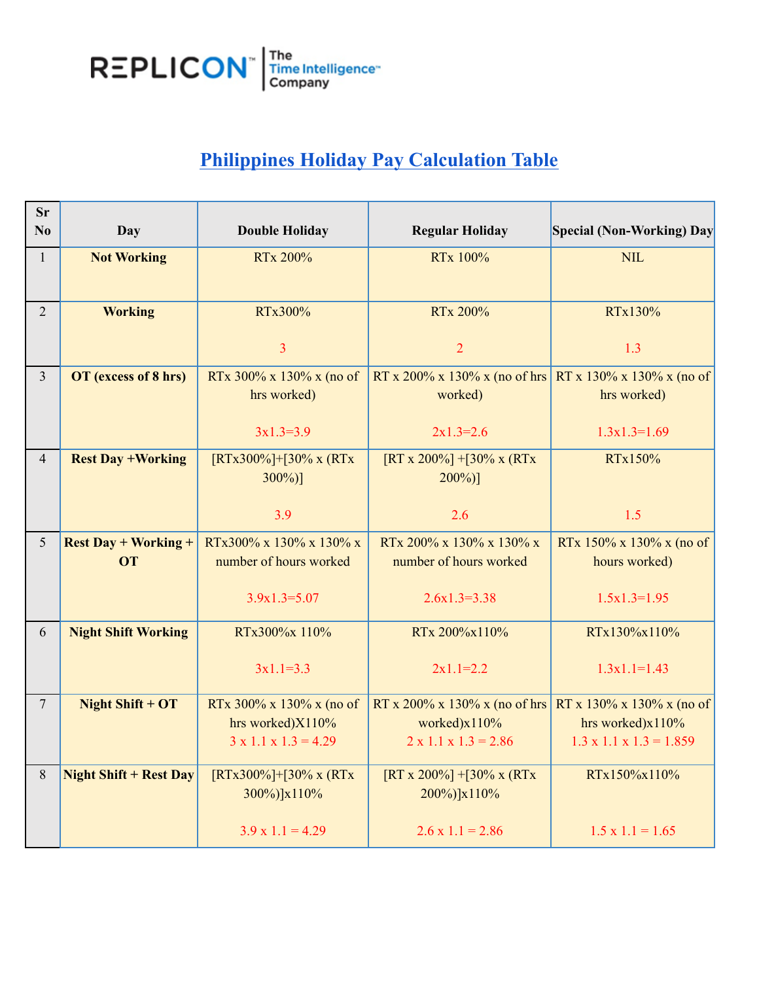

## **Philippines Holiday Pay Calculation Table**

| <b>Sr</b>      |                               |                                  |                                  |                                     |
|----------------|-------------------------------|----------------------------------|----------------------------------|-------------------------------------|
| No             | <b>Day</b>                    | <b>Double Holiday</b>            | <b>Regular Holiday</b>           | Special (Non-Working) Day           |
| $\mathbf{1}$   | <b>Not Working</b>            | <b>RTx 200%</b>                  | <b>RTx 100%</b>                  | <b>NIL</b>                          |
|                |                               |                                  |                                  |                                     |
| $\overline{2}$ | <b>Working</b>                | RTx300%                          | <b>RTx 200%</b>                  | RTx130%                             |
|                |                               |                                  |                                  |                                     |
|                |                               | $\overline{3}$                   | $\overline{2}$                   | 1.3                                 |
| $\overline{3}$ | OT (excess of 8 hrs)          | RTx 300% x 130% x (no of         | RT x 200% x 130% x (no of hrs    | RT x 130% x 130% x (no of           |
|                |                               | hrs worked)                      | worked)                          | hrs worked)                         |
|                |                               | $3x1.3=3.9$                      | $2x1.3=2.6$                      | $1.3x1.3=1.69$                      |
| $\overline{4}$ | <b>Rest Day +Working</b>      | [RTx300%]+[30% x (RTx            | [RT x 200%] + [30% x (RTx        | RTx150%                             |
|                |                               | $300\%)$                         | $200\%)$                         |                                     |
|                |                               |                                  |                                  |                                     |
|                |                               | 3.9                              | 2.6                              | 1.5                                 |
| 5              | <b>Rest Day + Working +</b>   | RTx300% x 130% x 130% x          | RTx 200% x 130% x 130% x         | RTx 150% x 130% x (no of            |
|                | <b>OT</b>                     | number of hours worked           | number of hours worked           | hours worked)                       |
|                |                               | $3.9x1.3=5.07$                   | $2.6x1.3=3.38$                   | $1.5x1.3=1.95$                      |
|                |                               |                                  |                                  |                                     |
| 6              | <b>Night Shift Working</b>    | RTx300%x 110%                    | RTx 200%x110%                    | RTx130%x110%                        |
|                |                               | $3x1.1=3.3$                      | $2x1.1=2.2$                      | $1.3x1.1=1.43$                      |
|                |                               |                                  |                                  |                                     |
| $\overline{7}$ | <b>Night Shift + OT</b>       | RTx 300% x 130% x (no of         | RT x 200% x 130% x (no of hrs    | RT x 130% x 130% x (no of           |
|                |                               | hrs worked)X110%                 | worked)x110%                     | hrs worked)x110%                    |
|                |                               | $3 \times 1.1 \times 1.3 = 4.29$ | $2 \times 1.1 \times 1.3 = 2.86$ | $1.3 \times 1.1 \times 1.3 = 1.859$ |
| 8              | <b>Night Shift + Rest Day</b> | [RTx300%]+[30% x (RTx            | [RT x 200%] + [30% x (RTx        | RTx150%x110%                        |
|                |                               | 300%)]x110%                      | 200%)]x110%                      |                                     |
|                |                               |                                  |                                  |                                     |
|                |                               | $3.9 \times 1.1 = 4.29$          | $2.6 \times 1.1 = 2.86$          | $1.5 \times 1.1 = 1.65$             |